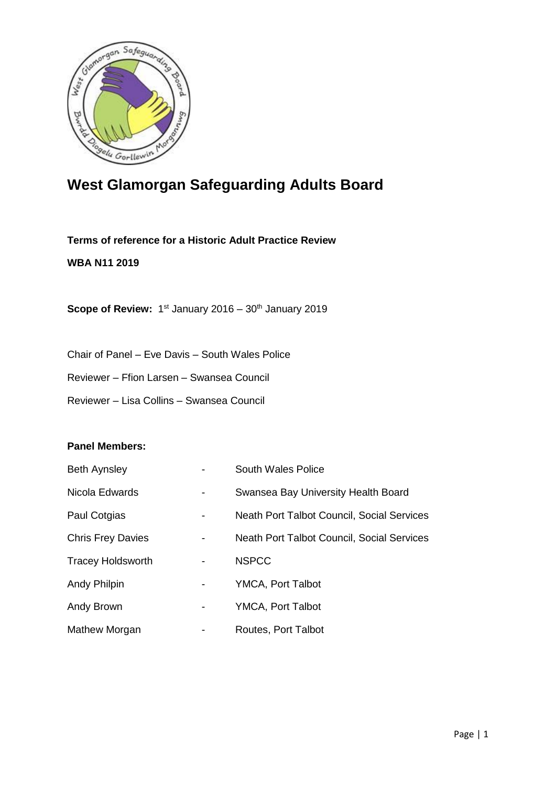

# **West Glamorgan Safeguarding Adults Board**

**Terms of reference for a Historic Adult Practice Review**

### **WBA N11 2019**

**Scope of Review:** 1<sup>st</sup> January 2016 – 30<sup>th</sup> January 2019

Chair of Panel – Eve Davis – South Wales Police

Reviewer – Ffion Larsen – Swansea Council

Reviewer – Lisa Collins – Swansea Council

#### **Panel Members:**

| <b>Beth Aynsley</b>      |   | <b>South Wales Police</b>                  |
|--------------------------|---|--------------------------------------------|
| Nicola Edwards           |   | Swansea Bay University Health Board        |
| Paul Cotgias             | - | Neath Port Talbot Council, Social Services |
| <b>Chris Frey Davies</b> | - | Neath Port Talbot Council, Social Services |
| <b>Tracey Holdsworth</b> | - | <b>NSPCC</b>                               |
| Andy Philpin             | - | <b>YMCA, Port Talbot</b>                   |
| Andy Brown               | - | YMCA, Port Talbot                          |
| Mathew Morgan            |   | Routes, Port Talbot                        |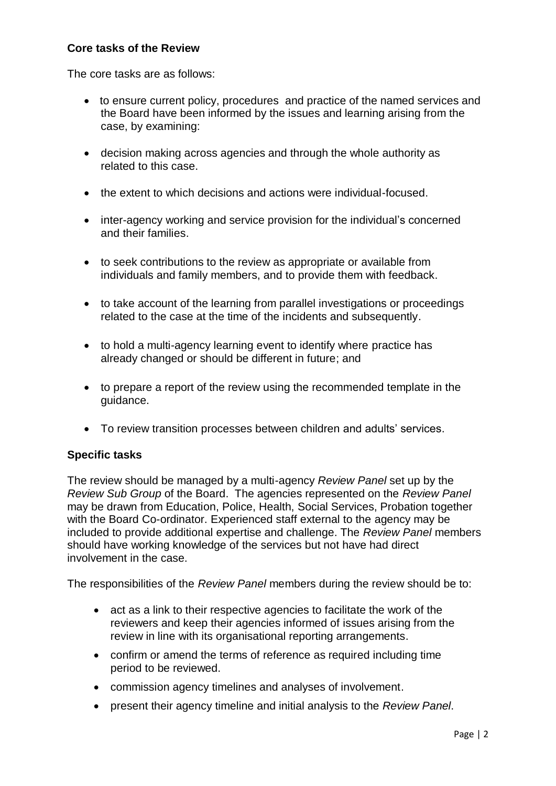# **Core tasks of the Review**

The core tasks are as follows:

- to ensure current policy, procedures and practice of the named services and the Board have been informed by the issues and learning arising from the case, by examining:
- decision making across agencies and through the whole authority as related to this case.
- the extent to which decisions and actions were individual-focused.
- inter-agency working and service provision for the individual's concerned and their families.
- to seek contributions to the review as appropriate or available from individuals and family members, and to provide them with feedback.
- to take account of the learning from parallel investigations or proceedings related to the case at the time of the incidents and subsequently.
- to hold a multi-agency learning event to identify where practice has already changed or should be different in future; and
- to prepare a report of the review using the recommended template in the guidance.
- To review transition processes between children and adults' services.

## **Specific tasks**

The review should be managed by a multi-agency *Review Panel* set up by the *Review Sub Group* of the Board. The agencies represented on the *Review Panel* may be drawn from Education, Police, Health, Social Services, Probation together with the Board Co-ordinator. Experienced staff external to the agency may be included to provide additional expertise and challenge. The *Review Panel* members should have working knowledge of the services but not have had direct involvement in the case.

The responsibilities of the *Review Panel* members during the review should be to:

- act as a link to their respective agencies to facilitate the work of the reviewers and keep their agencies informed of issues arising from the review in line with its organisational reporting arrangements.
- confirm or amend the terms of reference as required including time period to be reviewed.
- commission agency timelines and analyses of involvement.
- present their agency timeline and initial analysis to the *Review Panel*.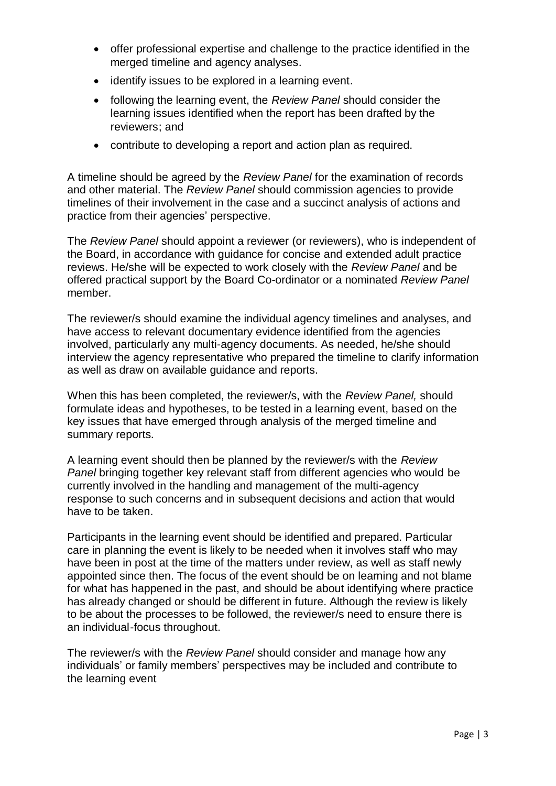- offer professional expertise and challenge to the practice identified in the merged timeline and agency analyses.
- identify issues to be explored in a learning event.
- following the learning event, the *Review Panel* should consider the learning issues identified when the report has been drafted by the reviewers; and
- contribute to developing a report and action plan as required.

A timeline should be agreed by the *Review Panel* for the examination of records and other material. The *Review Panel* should commission agencies to provide timelines of their involvement in the case and a succinct analysis of actions and practice from their agencies' perspective.

The *Review Panel* should appoint a reviewer (or reviewers), who is independent of the Board, in accordance with guidance for concise and extended adult practice reviews. He/she will be expected to work closely with the *Review Panel* and be offered practical support by the Board Co-ordinator or a nominated *Review Panel* member.

The reviewer/s should examine the individual agency timelines and analyses, and have access to relevant documentary evidence identified from the agencies involved, particularly any multi-agency documents. As needed, he/she should interview the agency representative who prepared the timeline to clarify information as well as draw on available guidance and reports.

When this has been completed, the reviewer/s, with the *Review Panel,* should formulate ideas and hypotheses, to be tested in a learning event, based on the key issues that have emerged through analysis of the merged timeline and summary reports.

A learning event should then be planned by the reviewer/s with the *Review Panel* bringing together key relevant staff from different agencies who would be currently involved in the handling and management of the multi-agency response to such concerns and in subsequent decisions and action that would have to be taken.

Participants in the learning event should be identified and prepared. Particular care in planning the event is likely to be needed when it involves staff who may have been in post at the time of the matters under review, as well as staff newly appointed since then. The focus of the event should be on learning and not blame for what has happened in the past, and should be about identifying where practice has already changed or should be different in future. Although the review is likely to be about the processes to be followed, the reviewer/s need to ensure there is an individual-focus throughout.

The reviewer/s with the *Review Panel* should consider and manage how any individuals' or family members' perspectives may be included and contribute to the learning event